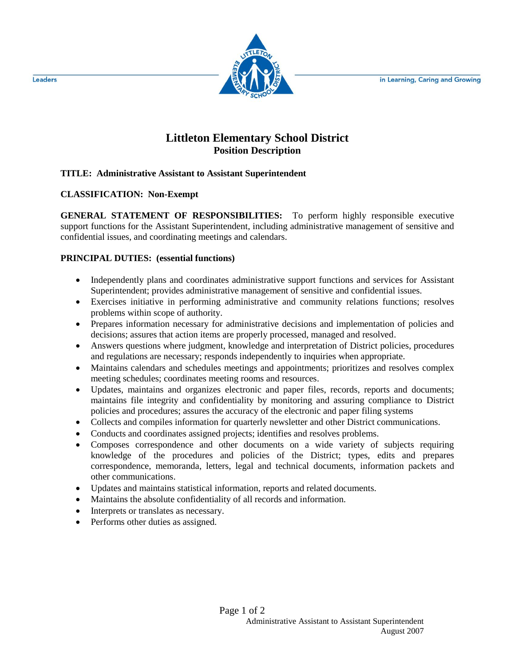in Learning, Caring and Growing



# **Littleton Elementary School District Position Description**

## **TITLE: Administrative Assistant to Assistant Superintendent**

## **CLASSIFICATION: Non-Exempt**

**GENERAL STATEMENT OF RESPONSIBILITIES:** To perform highly responsible executive support functions for the Assistant Superintendent, including administrative management of sensitive and confidential issues, and coordinating meetings and calendars.

#### **PRINCIPAL DUTIES: (essential functions)**

- Independently plans and coordinates administrative support functions and services for Assistant Superintendent; provides administrative management of sensitive and confidential issues.
- Exercises initiative in performing administrative and community relations functions; resolves problems within scope of authority.
- Prepares information necessary for administrative decisions and implementation of policies and decisions; assures that action items are properly processed, managed and resolved.
- Answers questions where judgment, knowledge and interpretation of District policies, procedures and regulations are necessary; responds independently to inquiries when appropriate.
- Maintains calendars and schedules meetings and appointments; prioritizes and resolves complex meeting schedules; coordinates meeting rooms and resources.
- Updates, maintains and organizes electronic and paper files, records, reports and documents; maintains file integrity and confidentiality by monitoring and assuring compliance to District policies and procedures; assures the accuracy of the electronic and paper filing systems
- Collects and compiles information for quarterly newsletter and other District communications.
- Conducts and coordinates assigned projects; identifies and resolves problems.
- Composes correspondence and other documents on a wide variety of subjects requiring knowledge of the procedures and policies of the District; types, edits and prepares correspondence, memoranda, letters, legal and technical documents, information packets and other communications.
- Updates and maintains statistical information, reports and related documents.
- Maintains the absolute confidentiality of all records and information.
- Interprets or translates as necessary.
- Performs other duties as assigned.

Leaders